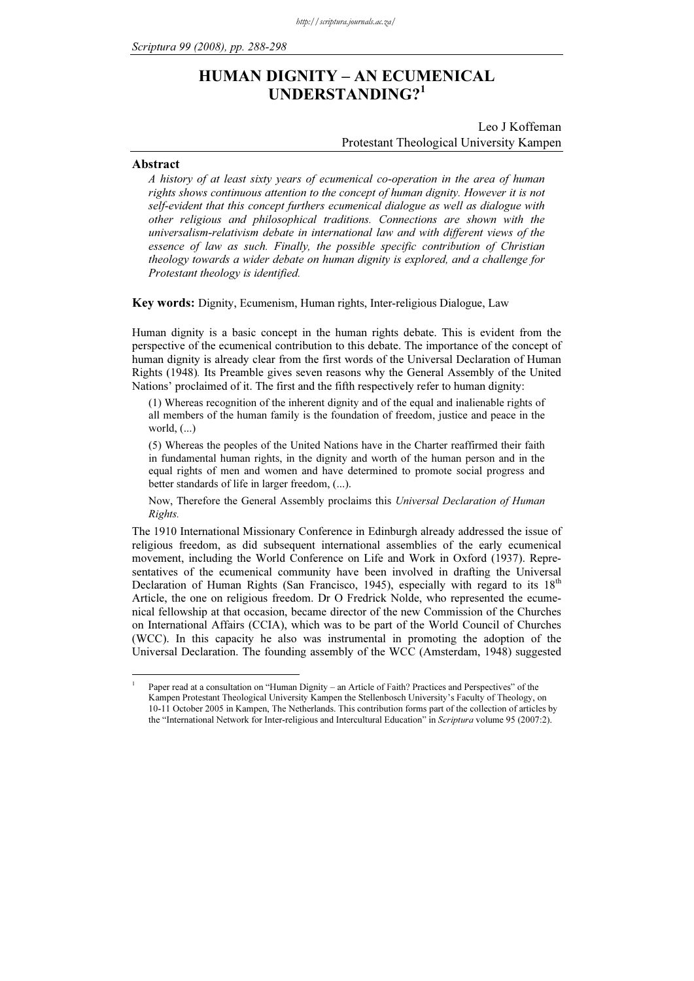# HUMAN DIGNITY – AN ECUMENICAL UNDERSTANDING?<sup>1</sup>

# iversity Kompen Protestant Theological University Kampen

# Abstract

1

A history of at least sixty years of ecumenical co-operation in the area of human rights shows continuous attention to the concept of human dignity. However it is not self-evident that this concept furthers ecumenical dialogue as well as dialogue with other religious and philosophical traditions. Connections are shown with the universalism-relativism debate in international law and with different views of the essence of law as such. Finally, the possible specific contribution of Christian theology towards a wider debate on human dignity is explored, and a challenge for Protestant theology is identified.

Key words: Dignity, Ecumenism, Human rights, Inter-religious Dialogue, Law

Human dignity is a basic concept in the human rights debate. This is evident from the perspective of the ecumenical contribution to this debate. The importance of the concept of human dignity is already clear from the first words of the Universal Declaration of Human Rights (1948). Its Preamble gives seven reasons why the General Assembly of the United Nations' proclaimed of it. The first and the fifth respectively refer to human dignity:

(1) Whereas recognition of the inherent dignity and of the equal and inalienable rights of all members of the human family is the foundation of freedom, justice and peace in the world, (...)

(5) Whereas the peoples of the United Nations have in the Charter reaffirmed their faith in fundamental human rights, in the dignity and worth of the human person and in the equal rights of men and women and have determined to promote social progress and better standards of life in larger freedom, (...).

Now, Therefore the General Assembly proclaims this Universal Declaration of Human Rights.

Rights. The 1910 International Missionary Conference in Edinburgh already addressed the issue of religious freedom, as did subsequent international assemblies of the early ecumenical movement, including the World Conference on Life and Work in Oxford (1937). Representatives of the ecumenical community have been involved in drafting the Universal Declaration of Human Rights (San Francisco, 1945), especially with regard to its  $18<sup>th</sup>$ Article, the one on religious freedom. Dr O Fredrick Nolde, who represented the ecumenical fellowship at that occasion, became director of the new Commission of the Churches on International Affairs (CCIA), which was to be part of the World Council of Churches (WCC). In this capacity he also was instrumental in promoting the adoption of the Universal Declaration. The founding assembly of the WCC (Amsterdam, 1948) suggested

Paper read at a consultation on "Human Dignity – an Article of Faith? Practices and Perspectives" of the Kampen Protestant Theological University Kampen the Stellenbosch University's Faculty of Theology, on 10-11 October 2005 in Kampen, The Netherlands. This contribution forms part of the collection of articles by the "International Network for Inter-religious and Intercultural Education" in Scriptura volume 95 (2007:2).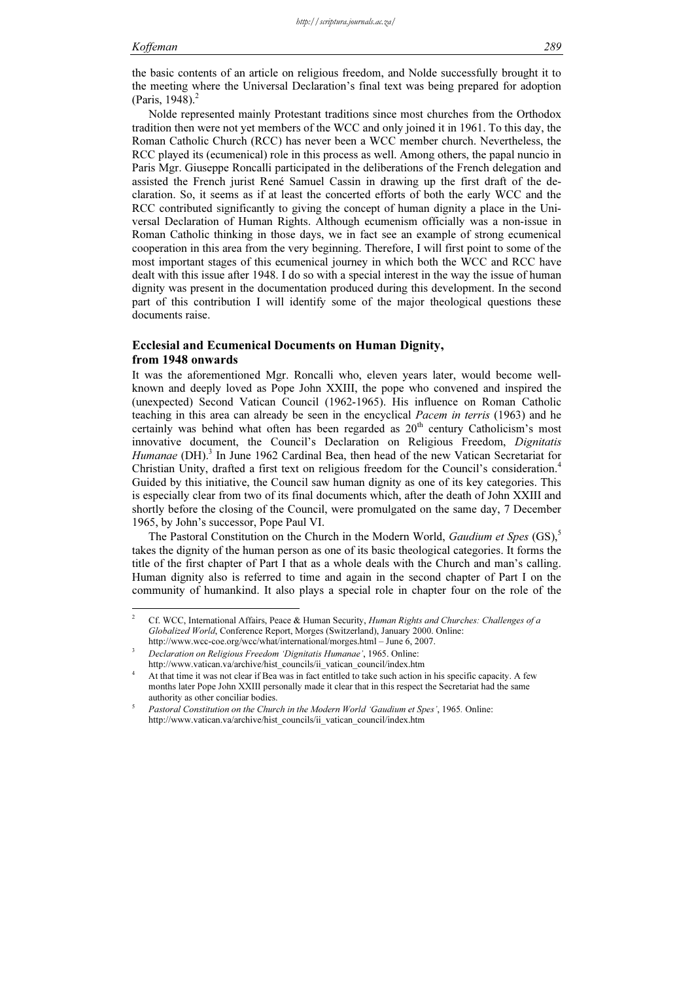### Koffeman 289

the basic contents of an article on religious freedom, and Nolde successfully brought it to the meeting where the Universal Declaration's final text was being prepared for adoption (Paris, 1948).<sup>2</sup>

Nolde represented mainly Protestant traditions since most churches from the Orthodox tradition then were not yet members of the WCC and only joined it in 1961. To this day, the Roman Catholic Church (RCC) has never been a WCC member church. Nevertheless, the RCC played its (ecumenical) role in this process as well. Among others, the papal nuncio in Paris Mgr. Giuseppe Roncalli participated in the deliberations of the French delegation and assisted the French jurist René Samuel Cassin in drawing up the first draft of the declaration. So, it seems as if at least the concerted efforts of both the early WCC and the RCC contributed significantly to giving the concept of human dignity a place in the Universal Declaration of Human Rights. Although ecumenism officially was a non-issue in Roman Catholic thinking in those days, we in fact see an example of strong ecumenical cooperation in this area from the very beginning. Therefore, I will first point to some of the most important stages of this ecumenical journey in which both the WCC and RCC have dealt with this issue after 1948. I do so with a special interest in the way the issue of human dignity was present in the documentation produced during this development. In the second part of this contribution I will identify some of the major theological questions these documents raise.

# Ecclesial and Ecumenical Documents on Human Dignity, from 1948 onwards

It was the aforementioned Mgr. Roncalli who, eleven years later, would become wellknown and deeply loved as Pope John XXIII, the pope who convened and inspired the (unexpected) Second Vatican Council (1962-1965). His influence on Roman Catholic teaching in this area can already be seen in the encyclical Pacem in terris (1963) and he certainly was behind what often has been regarded as  $20<sup>th</sup>$  century Catholicism's most innovative document, the Council's Declaration on Religious Freedom, Dignitatis Humanae (DH).<sup>3</sup> In June 1962 Cardinal Bea, then head of the new Vatican Secretariat for Christian Unity, drafted a first text on religious freedom for the Council's consideration.<sup>4</sup> Guided by this initiative, the Council saw human dignity as one of its key categories. This is especially clear from two of its final documents which, after the death of John XXIII and shortly before the closing of the Council, were promulgated on the same day, 7 December 1965, by John's successor, Pope Paul VI.

The Pastoral Constitution on the Church in the Modern World, *Gaudium et Spes*  $(GS)$ ,<sup>5</sup> takes the dignity of the human person as one of its basic theological categories. It forms the title of the first chapter of Part I that as a whole deals with the Church and man's calling. Human dignity also is referred to time and again in the second chapter of Part I on the community of humankind. It also plays a special role in chapter four on the role of the

 $\overline{2}$  Cf. WCC, International Affairs, Peace & Human Security, Human Rights and Churches: Challenges of a Globalized World, Conference Report, Morges (Switzerland), January 2000. Online: http://www.wcc-coe.org/wcc/what/international/morges.html – June 6, 2007.

<sup>3</sup> Declaration on Religious Freedom 'Dignitatis Humanae', 1965. Online:

http://www.vatican.va/archive/hist\_councils/ii\_vatican\_council/index.htm

<sup>4</sup> At that time it was not clear if Bea was in fact entitled to take such action in his specific capacity. A few months later Pope John XXIII personally made it clear that in this respect the Secretariat had the same authority as other conciliar bodies.

<sup>5</sup> Pastoral Constitution on the Church in the Modern World 'Gaudium et Spes', 1965. Online: http://www.vatican.va/archive/hist\_councils/ii\_vatican\_council/index.htm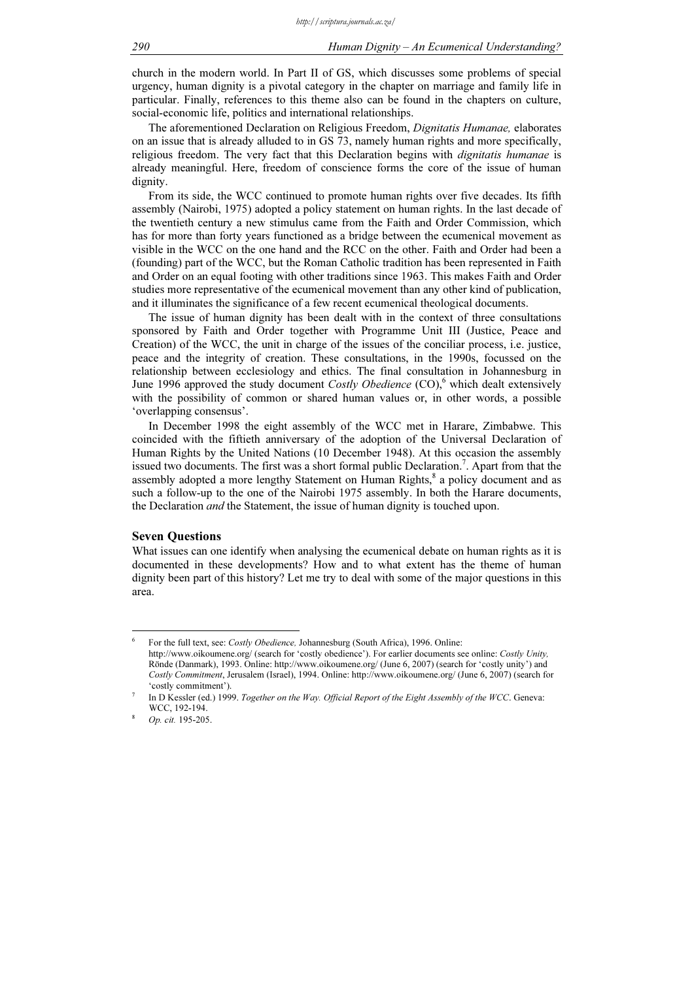church in the modern world. In Part II of GS, which discusses some problems of special urgency, human dignity is a pivotal category in the chapter on marriage and family life in particular. Finally, references to this theme also can be found in the chapters on culture, social-economic life, politics and international relationships.

The aforementioned Declaration on Religious Freedom, Dignitatis Humanae, elaborates on an issue that is already alluded to in GS 73, namely human rights and more specifically, religious freedom. The very fact that this Declaration begins with *dignitatis humanae* is already meaningful. Here, freedom of conscience forms the core of the issue of human dignity.

From its side, the WCC continued to promote human rights over five decades. Its fifth assembly (Nairobi, 1975) adopted a policy statement on human rights. In the last decade of the twentieth century a new stimulus came from the Faith and Order Commission, which has for more than forty years functioned as a bridge between the ecumenical movement as visible in the WCC on the one hand and the RCC on the other. Faith and Order had been a (founding) part of the WCC, but the Roman Catholic tradition has been represented in Faith and Order on an equal footing with other traditions since 1963. This makes Faith and Order studies more representative of the ecumenical movement than any other kind of publication, and it illuminates the significance of a few recent ecumenical theological documents.

The issue of human dignity has been dealt with in the context of three consultations sponsored by Faith and Order together with Programme Unit III (Justice, Peace and Creation) of the WCC, the unit in charge of the issues of the conciliar process, i.e. justice, peace and the integrity of creation. These consultations, in the 1990s, focussed on the relationship between ecclesiology and ethics. The final consultation in Johannesburg in June 1996 approved the study document Costly Obedience (CO),<sup>6</sup> which dealt extensively with the possibility of common or shared human values or, in other words, a possible 'overlapping consensus'.

In December 1998 the eight assembly of the WCC met in Harare, Zimbabwe. This coincided with the fiftieth anniversary of the adoption of the Universal Declaration of Human Rights by the United Nations (10 December 1948). At this occasion the assembly issued two documents. The first was a short formal public Declaration.<sup>7</sup>. Apart from that the assembly adopted a more lengthy Statement on Human Rights, $\delta$  a policy document and as such a follow-up to the one of the Nairobi 1975 assembly. In both the Harare documents, the Declaration *and* the Statement, the issue of human dignity is touched upon.

### Seven Questions

What issues can one identify when analysing the ecumenical debate on human rights as it is documented in these developments? How and to what extent has the theme of human dignity been part of this history? Let me try to deal with some of the major questions in this area.

<sup>6</sup> For the full text, see: Costly Obedience, Johannesburg (South Africa), 1996. Online: http://www.oikoumene.org/ (search for 'costly obedience'). For earlier documents see online: Costly Unity, Rönde (Danmark), 1993. Online: http://www.oikoumene.org/ (June 6, 2007) (search for 'costly unity') and Costly Commitment, Jerusalem (Israel), 1994. Online: http://www.oikoumene.org/ (June 6, 2007) (search for 'costly commitment').

<sup>7</sup> In D Kessler (ed.) 1999. Together on the Way. Official Report of the Eight Assembly of the WCC. Geneva: WCC, 192-194.

Op. cit. 195-205.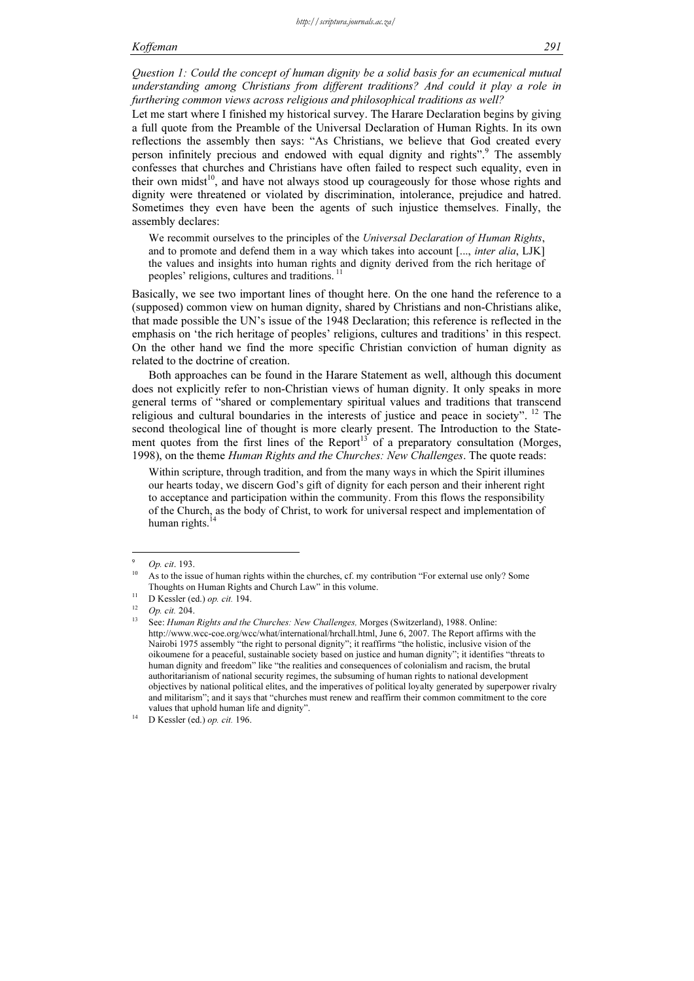Question 1: Could the concept of human dignity be a solid basis for an ecumenical mutual understanding among Christians from different traditions? And could it play a role in furthering common views across religious and philosophical traditions as well?

Let me start where I finished my historical survey. The Harare Declaration begins by giving a full quote from the Preamble of the Universal Declaration of Human Rights. In its own reflections the assembly then says: "As Christians, we believe that God created every person infinitely precious and endowed with equal dignity and rights".<sup>9</sup> The assembly confesses that churches and Christians have often failed to respect such equality, even in their own midst<sup>10</sup>, and have not always stood up courageously for those whose rights and dignity were threatened or violated by discrimination, intolerance, prejudice and hatred. Sometimes they even have been the agents of such injustice themselves. Finally, the assembly declares:

We recommit ourselves to the principles of the Universal Declaration of Human Rights, and to promote and defend them in a way which takes into account [..., *inter alia*, LJK] the values and insights into human rights and dignity derived from the rich heritage of peoples' religions, cultures and traditions.<sup>1</sup>

Basically, we see two important lines of thought here. On the one hand the reference to a (supposed) common view on human dignity, shared by Christians and non-Christians alike, that made possible the UN's issue of the 1948 Declaration; this reference is reflected in the emphasis on 'the rich heritage of peoples' religions, cultures and traditions' in this respect. On the other hand we find the more specific Christian conviction of human dignity as related to the doctrine of creation.

Both approaches can be found in the Harare Statement as well, although this document does not explicitly refer to non-Christian views of human dignity. It only speaks in more general terms of "shared or complementary spiritual values and traditions that transcend religious and cultural boundaries in the interests of justice and peace in society". <sup>12</sup> The second theological line of thought is more clearly present. The Introduction to the Statement quotes from the first lines of the Report<sup>13</sup> of a preparatory consultation (Morges, 1998), on the theme Human Rights and the Churches: New Challenges. The quote reads:

Within scripture, through tradition, and from the many ways in which the Spirit illumines our hearts today, we discern God's gift of dignity for each person and their inherent right to acceptance and participation within the community. From this flows the responsibility of the Church, as the body of Christ, to work for universal respect and implementation of human rights.<sup>14</sup>

<sup>9</sup> Op. cit. 193.

As to the issue of human rights within the churches, cf. my contribution "For external use only? Some Thoughts on Human Rights and Church Law" in this volume.<br>
<sup>11</sup> D Kessler (ed.) *op. cit.* 194.<br>
<sup>12</sup> Op. cit. 204.

See: Human Rights and the Churches: New Challenges, Morges (Switzerland), 1988. Online: http://www.wcc-coe.org/wcc/what/international/hrchall.html, June 6, 2007. The Report affirms with the Nairobi 1975 assembly "the right to personal dignity"; it reaffirms "the holistic, inclusive vision of the oikoumene for a peaceful, sustainable society based on justice and human dignity"; it identifies "threats to human dignity and freedom" like "the realities and consequences of colonialism and racism, the brutal authoritarianism of national security regimes, the subsuming of human rights to national development objectives by national political elites, and the imperatives of political loyalty generated by superpower rivalry and militarism"; and it says that "churches must renew and reaffirm their common commitment to the core values that uphold human life and dignity".<br>D Kessler (ed.) op. cit. 196.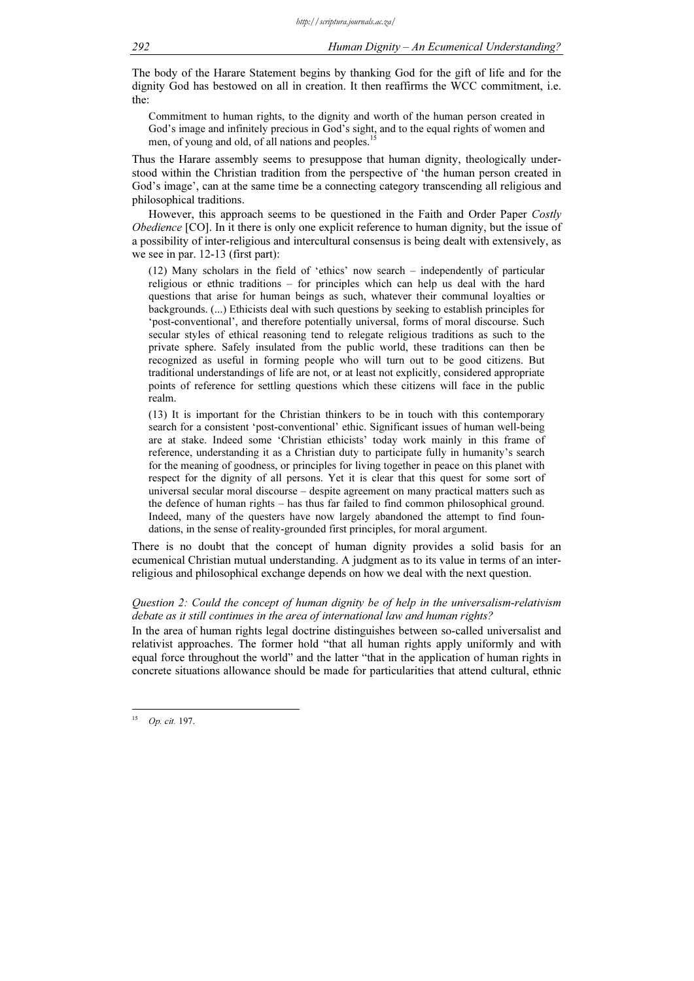The body of the Harare Statement begins by thanking God for the gift of life and for the dignity God has bestowed on all in creation. It then reaffirms the WCC commitment, i.e. the:

Commitment to human rights, to the dignity and worth of the human person created in God's image and infinitely precious in God's sight, and to the equal rights of women and men, of young and old, of all nations and peoples.

Thus the Harare assembly seems to presuppose that human dignity, theologically understood within the Christian tradition from the perspective of 'the human person created in God's image', can at the same time be a connecting category transcending all religious and philosophical traditions.

However, this approach seems to be questioned in the Faith and Order Paper Costly Obedience [CO]. In it there is only one explicit reference to human dignity, but the issue of a possibility of inter-religious and intercultural consensus is being dealt with extensively, as we see in par. 12-13 (first part):

(12) Many scholars in the field of 'ethics' now search – independently of particular religious or ethnic traditions – for principles which can help us deal with the hard questions that arise for human beings as such, whatever their communal loyalties or backgrounds. (...) Ethicists deal with such questions by seeking to establish principles for 'post-conventional', and therefore potentially universal, forms of moral discourse. Such secular styles of ethical reasoning tend to relegate religious traditions as such to the private sphere. Safely insulated from the public world, these traditions can then be recognized as useful in forming people who will turn out to be good citizens. But traditional understandings of life are not, or at least not explicitly, considered appropriate points of reference for settling questions which these citizens will face in the public realm.

(13) It is important for the Christian thinkers to be in touch with this contemporary search for a consistent 'post-conventional' ethic. Significant issues of human well-being are at stake. Indeed some 'Christian ethicists' today work mainly in this frame of reference, understanding it as a Christian duty to participate fully in humanity's search for the meaning of goodness, or principles for living together in peace on this planet with respect for the dignity of all persons. Yet it is clear that this quest for some sort of universal secular moral discourse – despite agreement on many practical matters such as the defence of human rights – has thus far failed to find common philosophical ground. Indeed, many of the questers have now largely abandoned the attempt to find foundations, in the sense of reality-grounded first principles, for moral argument.

There is no doubt that the concept of human dignity provides a solid basis for an ecumenical Christian mutual understanding. A judgment as to its value in terms of an interreligious and philosophical exchange depends on how we deal with the next question.

# Question 2: Could the concept of human dignity be of help in the universalism-relativism debate as it still continues in the area of international law and human rights?

In the area of human rights legal doctrine distinguishes between so-called universalist and relativist approaches. The former hold "that all human rights apply uniformly and with equal force throughout the world" and the latter "that in the application of human rights in concrete situations allowance should be made for particularities that attend cultural, ethnic

Op. cit. 197.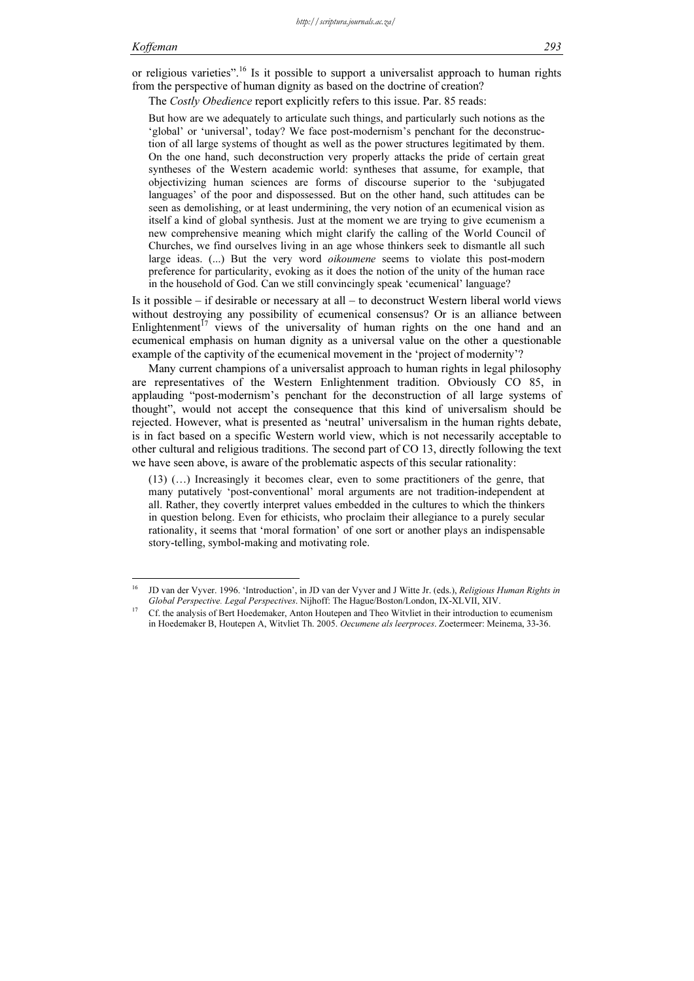or religious varieties".<sup>16</sup> Is it possible to support a universalist approach to human rights from the perspective of human dignity as based on the doctrine of creation?

The Costly Obedience report explicitly refers to this issue. Par. 85 reads:

But how are we adequately to articulate such things, and particularly such notions as the 'global' or 'universal', today? We face post-modernism's penchant for the deconstruction of all large systems of thought as well as the power structures legitimated by them. On the one hand, such deconstruction very properly attacks the pride of certain great syntheses of the Western academic world: syntheses that assume, for example, that objectivizing human sciences are forms of discourse superior to the 'subjugated languages' of the poor and dispossessed. But on the other hand, such attitudes can be seen as demolishing, or at least undermining, the very notion of an ecumenical vision as itself a kind of global synthesis. Just at the moment we are trying to give ecumenism a new comprehensive meaning which might clarify the calling of the World Council of Churches, we find ourselves living in an age whose thinkers seek to dismantle all such large ideas. (...) But the very word oikoumene seems to violate this post-modern preference for particularity, evoking as it does the notion of the unity of the human race in the household of God. Can we still convincingly speak 'ecumenical' language?

Is it possible – if desirable or necessary at all – to deconstruct Western liberal world views without destroying any possibility of ecumenical consensus? Or is an alliance between Enlightenment<sup>17</sup> views of the universality of human rights on the one hand and an ecumenical emphasis on human dignity as a universal value on the other a questionable example of the captivity of the ecumenical movement in the 'project of modernity'?

Many current champions of a universalist approach to human rights in legal philosophy are representatives of the Western Enlightenment tradition. Obviously CO 85, in applauding "post-modernism's penchant for the deconstruction of all large systems of thought", would not accept the consequence that this kind of universalism should be rejected. However, what is presented as 'neutral' universalism in the human rights debate, is in fact based on a specific Western world view, which is not necessarily acceptable to other cultural and religious traditions. The second part of CO 13, directly following the text we have seen above, is aware of the problematic aspects of this secular rationality:

(13) (…) Increasingly it becomes clear, even to some practitioners of the genre, that many putatively 'post-conventional' moral arguments are not tradition-independent at all. Rather, they covertly interpret values embedded in the cultures to which the thinkers in question belong. Even for ethicists, who proclaim their allegiance to a purely secular rationality, it seems that 'moral formation' of one sort or another plays an indispensable story-telling, symbol-making and motivating role.

<sup>16</sup> JD van der Vyver. 1996. 'Introduction', in JD van der Vyver and J Witte Jr. (eds.), Religious Human Rights in Global Perspective. Legal Perspectives. Nijhoff: The Hague/Boston/London, IX-XLVII, XIV.

<sup>&</sup>lt;sup>17</sup> Cf. the analysis of Bert Hoedemaker, Anton Houtepen and Theo Witvliet in their introduction to ecumenism in Hoedemaker B, Houtepen A, Witvliet Th. 2005. Oecumene als leerproces. Zoetermeer: Meinema, 33-36.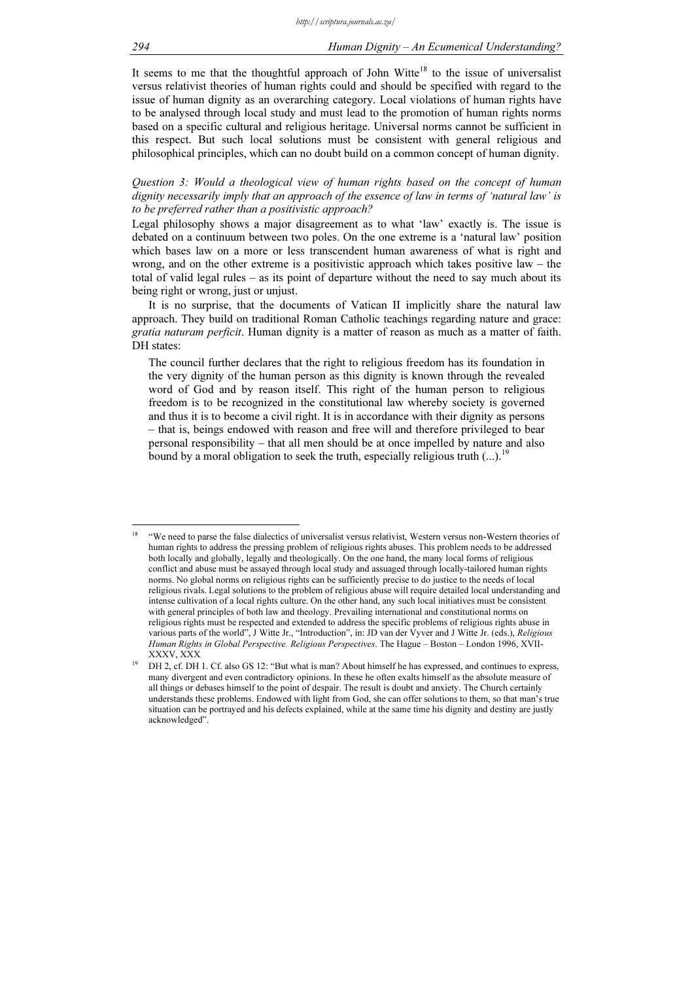It seems to me that the thoughtful approach of John Witte<sup>18</sup> to the issue of universalist versus relativist theories of human rights could and should be specified with regard to the issue of human dignity as an overarching category. Local violations of human rights have to be analysed through local study and must lead to the promotion of human rights norms based on a specific cultural and religious heritage. Universal norms cannot be sufficient in this respect. But such local solutions must be consistent with general religious and philosophical principles, which can no doubt build on a common concept of human dignity.

# Question 3: Would a theological view of human rights based on the concept of human dignity necessarily imply that an approach of the essence of law in terms of 'natural law' is to be preferred rather than a positivistic approach?

Legal philosophy shows a major disagreement as to what 'law' exactly is. The issue is debated on a continuum between two poles. On the one extreme is a 'natural law' position which bases law on a more or less transcendent human awareness of what is right and wrong, and on the other extreme is a positivistic approach which takes positive law – the total of valid legal rules – as its point of departure without the need to say much about its being right or wrong, just or unjust.

It is no surprise, that the documents of Vatican II implicitly share the natural law approach. They build on traditional Roman Catholic teachings regarding nature and grace: gratia naturam perficit. Human dignity is a matter of reason as much as a matter of faith. DH states:

The council further declares that the right to religious freedom has its foundation in the very dignity of the human person as this dignity is known through the revealed word of God and by reason itself. This right of the human person to religious freedom is to be recognized in the constitutional law whereby society is governed and thus it is to become a civil right. It is in accordance with their dignity as persons – that is, beings endowed with reason and free will and therefore privileged to bear personal responsibility – that all men should be at once impelled by nature and also bound by a moral obligation to seek the truth, especially religious truth  $(...)$ .<sup>19</sup>

<sup>18</sup> "We need to parse the false dialectics of universalist versus relativist, Western versus non-Western theories of human rights to address the pressing problem of religious rights abuses. This problem needs to be addressed both locally and globally, legally and theologically. On the one hand, the many local forms of religious conflict and abuse must be assayed through local study and assuaged through locally-tailored human rights norms. No global norms on religious rights can be sufficiently precise to do justice to the needs of local religious rivals. Legal solutions to the problem of religious abuse will require detailed local understanding and intense cultivation of a local rights culture. On the other hand, any such local initiatives must be consistent with general principles of both law and theology. Prevailing international and constitutional norms on religious rights must be respected and extended to address the specific problems of religious rights abuse in various parts of the world", J Witte Jr., "Introduction", in: JD van der Vyver and J Witte Jr. (eds.), Religious Human Rights in Global Perspective. Religious Perspectives. The Hague – Boston – London 1996, XVII-XXXV, XXX

<sup>19</sup> DH 2, cf. DH 1. Cf. also GS 12: "But what is man? About himself he has expressed, and continues to express, many divergent and even contradictory opinions. In these he often exalts himself as the absolute measure of all things or debases himself to the point of despair. The result is doubt and anxiety. The Church certainly understands these problems. Endowed with light from God, she can offer solutions to them, so that man's true situation can be portrayed and his defects explained, while at the same time his dignity and destiny are justly acknowledged".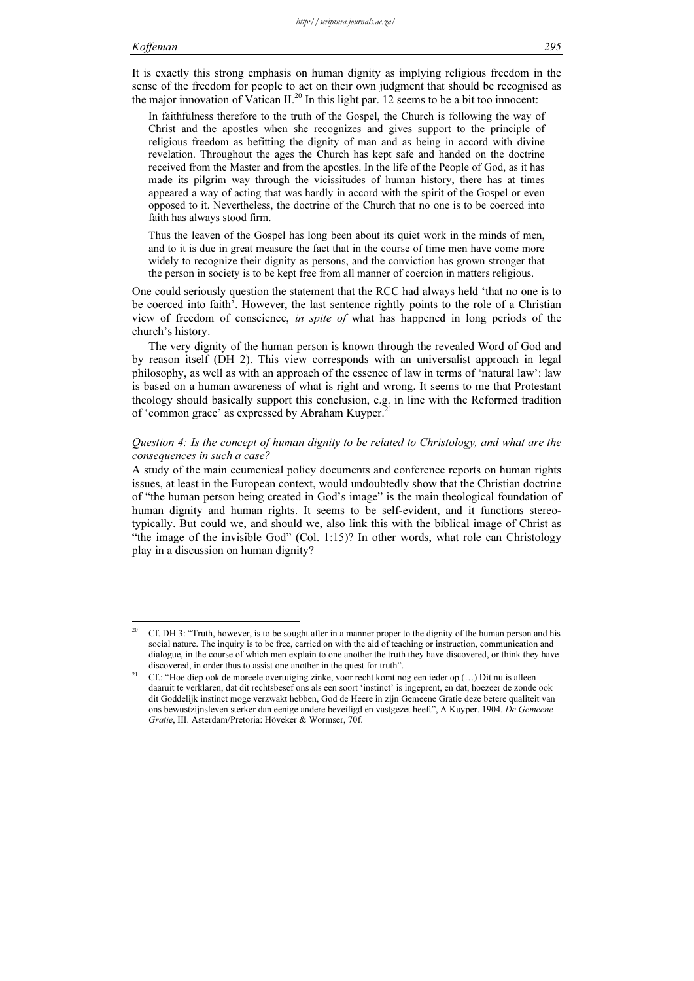### Koffeman 295

It is exactly this strong emphasis on human dignity as implying religious freedom in the sense of the freedom for people to act on their own judgment that should be recognised as the major innovation of Vatican  $II^{20}$  In this light par. 12 seems to be a bit too innocent:

In faithfulness therefore to the truth of the Gospel, the Church is following the way of Christ and the apostles when she recognizes and gives support to the principle of religious freedom as befitting the dignity of man and as being in accord with divine revelation. Throughout the ages the Church has kept safe and handed on the doctrine received from the Master and from the apostles. In the life of the People of God, as it has made its pilgrim way through the vicissitudes of human history, there has at times appeared a way of acting that was hardly in accord with the spirit of the Gospel or even opposed to it. Nevertheless, the doctrine of the Church that no one is to be coerced into faith has always stood firm.

Thus the leaven of the Gospel has long been about its quiet work in the minds of men, and to it is due in great measure the fact that in the course of time men have come more widely to recognize their dignity as persons, and the conviction has grown stronger that the person in society is to be kept free from all manner of coercion in matters religious.

One could seriously question the statement that the RCC had always held 'that no one is to be coerced into faith'. However, the last sentence rightly points to the role of a Christian view of freedom of conscience, in spite of what has happened in long periods of the church's history.

The very dignity of the human person is known through the revealed Word of God and by reason itself (DH 2). This view corresponds with an universalist approach in legal philosophy, as well as with an approach of the essence of law in terms of 'natural law': law is based on a human awareness of what is right and wrong. It seems to me that Protestant theology should basically support this conclusion, e.g. in line with the Reformed tradition of 'common grace' as expressed by Abraham Kuyper.

# Question 4: Is the concept of human dignity to be related to Christology, and what are the consequences in such a case?

A study of the main ecumenical policy documents and conference reports on human rights issues, at least in the European context, would undoubtedly show that the Christian doctrine of "the human person being created in God's image" is the main theological foundation of human dignity and human rights. It seems to be self-evident, and it functions stereotypically. But could we, and should we, also link this with the biblical image of Christ as "the image of the invisible God" (Col. 1:15)? In other words, what role can Christology play in a discussion on human dignity?

<sup>20</sup> Cf. DH 3: "Truth, however, is to be sought after in a manner proper to the dignity of the human person and his social nature. The inquiry is to be free, carried on with the aid of teaching or instruction, communication and dialogue, in the course of which men explain to one another the truth they have discovered, or think they have discovered, in order thus to assist one another in the quest for truth".

<sup>&</sup>lt;sup>21</sup> Cf.: "Hoe diep ook de moreele overtuiging zinke, voor recht komt nog een ieder op  $(...)$  Dit nu is alleen daaruit te verklaren, dat dit rechtsbesef ons als een soort 'instinct' is ingeprent, en dat, hoezeer de zonde ook dit Goddelijk instinct moge verzwakt hebben, God de Heere in zijn Gemeene Gratie deze betere qualiteit van ons bewustzijnsleven sterker dan eenige andere beveiligd en vastgezet heeft", A Kuyper. 1904. De Gemeene Gratie, III. Asterdam/Pretoria: Höveker & Wormser, 70f.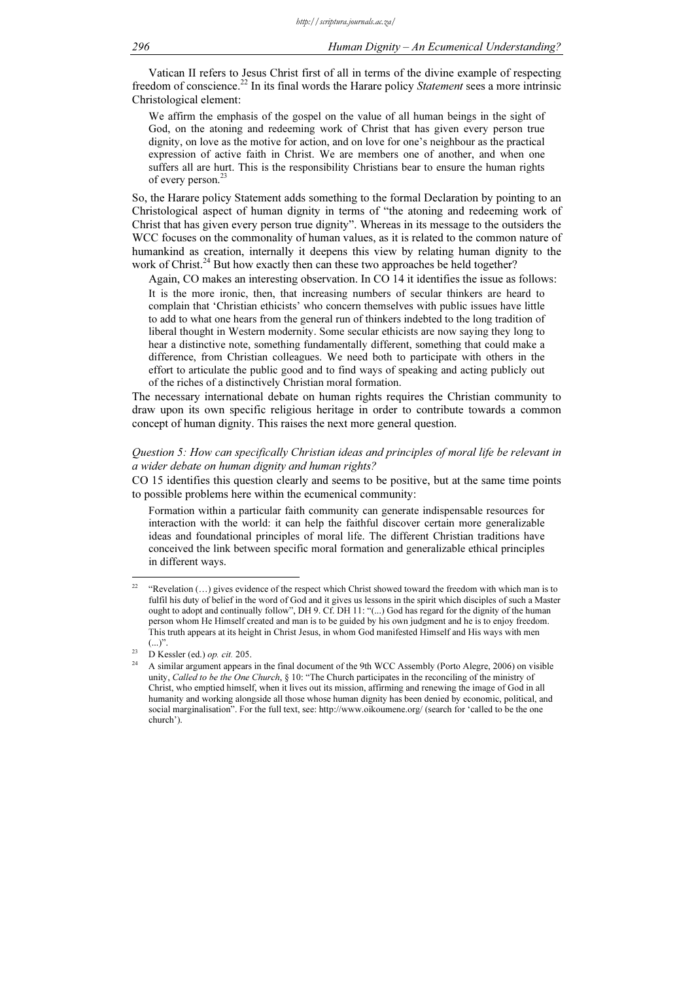Vatican II refers to Jesus Christ first of all in terms of the divine example of respecting freedom of conscience.<sup>22</sup> In its final words the Harare policy Statement sees a more intrinsic Christological element:

We affirm the emphasis of the gospel on the value of all human beings in the sight of God, on the atoning and redeeming work of Christ that has given every person true dignity, on love as the motive for action, and on love for one's neighbour as the practical expression of active faith in Christ. We are members one of another, and when one suffers all are hurt. This is the responsibility Christians bear to ensure the human rights of every person.<sup>23</sup>

So, the Harare policy Statement adds something to the formal Declaration by pointing to an Christological aspect of human dignity in terms of "the atoning and redeeming work of Christ that has given every person true dignity". Whereas in its message to the outsiders the WCC focuses on the commonality of human values, as it is related to the common nature of humankind as creation, internally it deepens this view by relating human dignity to the work of Christ.<sup>24</sup> But how exactly then can these two approaches be held together?

Again, CO makes an interesting observation. In CO 14 it identifies the issue as follows: It is the more ironic, then, that increasing numbers of secular thinkers are heard to complain that 'Christian ethicists' who concern themselves with public issues have little to add to what one hears from the general run of thinkers indebted to the long tradition of liberal thought in Western modernity. Some secular ethicists are now saying they long to hear a distinctive note, something fundamentally different, something that could make a difference, from Christian colleagues. We need both to participate with others in the effort to articulate the public good and to find ways of speaking and acting publicly out of the riches of a distinctively Christian moral formation.

The necessary international debate on human rights requires the Christian community to draw upon its own specific religious heritage in order to contribute towards a common concept of human dignity. This raises the next more general question.

# Question 5: How can specifically Christian ideas and principles of moral life be relevant in a wider debate on human dignity and human rights?

CO 15 identifies this question clearly and seems to be positive, but at the same time points to possible problems here within the ecumenical community:

Formation within a particular faith community can generate indispensable resources for interaction with the world: it can help the faithful discover certain more generalizable ideas and foundational principles of moral life. The different Christian traditions have conceived the link between specific moral formation and generalizable ethical principles in different ways.

 $\overline{\mathcal{D}}$ "Revelation  $(...)$  gives evidence of the respect which Christ showed toward the freedom with which man is to fulfil his duty of belief in the word of God and it gives us lessons in the spirit which disciples of such a Master ought to adopt and continually follow", DH 9. Cf. DH 11: "(...) God has regard for the dignity of the human person whom He Himself created and man is to be guided by his own judgment and he is to enjoy freedom. This truth appears at its height in Christ Jesus, in whom God manifested Himself and His ways with men

<sup>(...)&</sup>quot;.<br><sup>23</sup> D Kessler (ed.) *op. cit.* 205.

<sup>24</sup> A similar argument appears in the final document of the 9th WCC Assembly (Porto Alegre, 2006) on visible unity, Called to be the One Church, § 10: "The Church participates in the reconciling of the ministry of Christ, who emptied himself, when it lives out its mission, affirming and renewing the image of God in all humanity and working alongside all those whose human dignity has been denied by economic, political, and social marginalisation". For the full text, see: http://www.oikoumene.org/ (search for 'called to be the one church').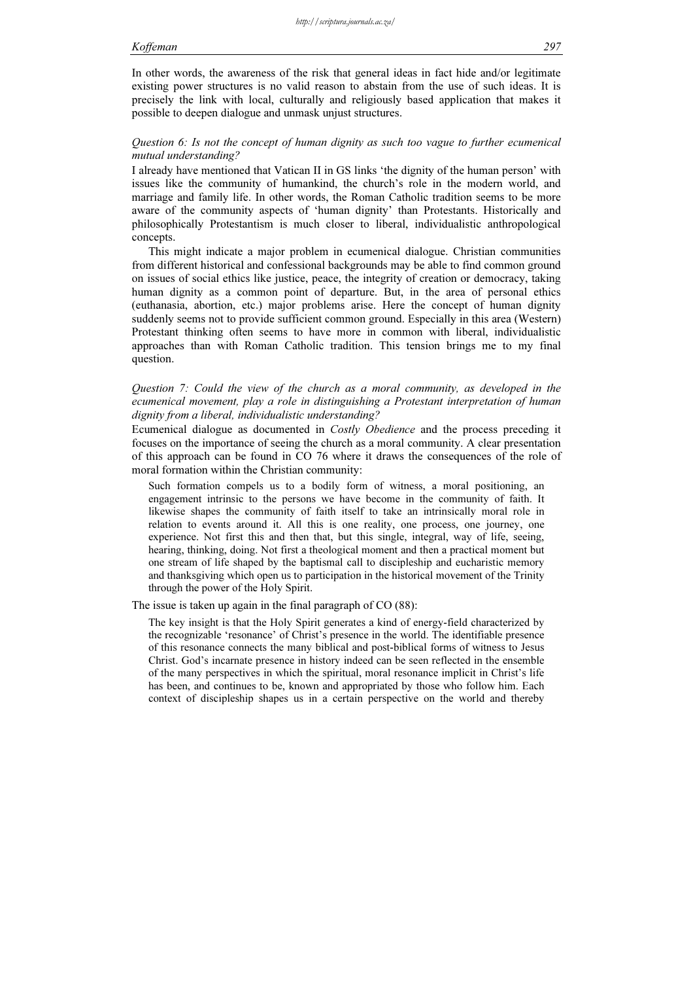### Koffeman 297

In other words, the awareness of the risk that general ideas in fact hide and/or legitimate existing power structures is no valid reason to abstain from the use of such ideas. It is precisely the link with local, culturally and religiously based application that makes it possible to deepen dialogue and unmask unjust structures.

# Question 6: Is not the concept of human dignity as such too vague to further ecumenical mutual understanding?

I already have mentioned that Vatican II in GS links 'the dignity of the human person' with issues like the community of humankind, the church's role in the modern world, and marriage and family life. In other words, the Roman Catholic tradition seems to be more aware of the community aspects of 'human dignity' than Protestants. Historically and philosophically Protestantism is much closer to liberal, individualistic anthropological concepts.

This might indicate a major problem in ecumenical dialogue. Christian communities from different historical and confessional backgrounds may be able to find common ground on issues of social ethics like justice, peace, the integrity of creation or democracy, taking human dignity as a common point of departure. But, in the area of personal ethics (euthanasia, abortion, etc.) major problems arise. Here the concept of human dignity suddenly seems not to provide sufficient common ground. Especially in this area (Western) Protestant thinking often seems to have more in common with liberal, individualistic approaches than with Roman Catholic tradition. This tension brings me to my final question.

# Question 7: Could the view of the church as a moral community, as developed in the ecumenical movement, play a role in distinguishing a Protestant interpretation of human dignity from a liberal, individualistic understanding?

Ecumenical dialogue as documented in Costly Obedience and the process preceding it focuses on the importance of seeing the church as a moral community. A clear presentation of this approach can be found in CO 76 where it draws the consequences of the role of moral formation within the Christian community:

Such formation compels us to a bodily form of witness, a moral positioning, an engagement intrinsic to the persons we have become in the community of faith. It likewise shapes the community of faith itself to take an intrinsically moral role in relation to events around it. All this is one reality, one process, one journey, one experience. Not first this and then that, but this single, integral, way of life, seeing, hearing, thinking, doing. Not first a theological moment and then a practical moment but one stream of life shaped by the baptismal call to discipleship and eucharistic memory and thanksgiving which open us to participation in the historical movement of the Trinity through the power of the Holy Spirit.

#### The issue is taken up again in the final paragraph of CO (88):

The key insight is that the Holy Spirit generates a kind of energy-field characterized by the recognizable 'resonance' of Christ's presence in the world. The identifiable presence of this resonance connects the many biblical and post-biblical forms of witness to Jesus Christ. God's incarnate presence in history indeed can be seen reflected in the ensemble of the many perspectives in which the spiritual, moral resonance implicit in Christ's life has been, and continues to be, known and appropriated by those who follow him. Each context of discipleship shapes us in a certain perspective on the world and thereby